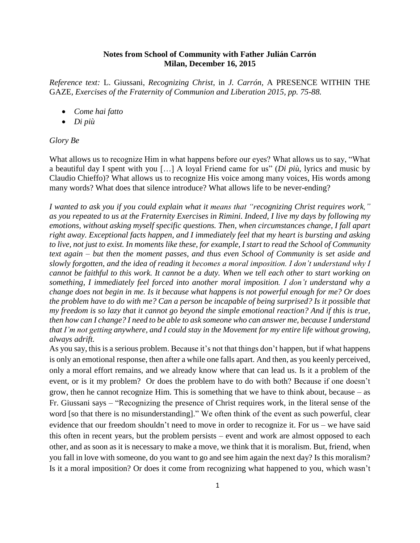## **Notes from School of Community with Father Julián Carrón Milan, December 16, 2015**

*Reference text:* L. Giussani, *Recognizing Christ*, in *J. Carrón,* A PRESENCE WITHIN THE GAZE*, Exercises of the Fraternity of Communion and Liberation 2015, pp. 75-88.*

- *Come hai fatto*
- *Di più*

## *Glory Be*

What allows us to recognize Him in what happens before our eyes? What allows us to say, "What a beautiful day I spent with you […] A loyal Friend came for us" (*Di più*, lyrics and music by Claudio Chieffo)? What allows us to recognize His voice among many voices, His words among many words? What does that silence introduce? What allows life to be never-ending?

*I wanted to ask you if you could explain what it means that "recognizing Christ requires work," as you repeated to us at the Fraternity Exercises in Rimini. Indeed, I live my days by following my emotions, without asking myself specific questions. Then, when circumstances change, I fall apart right away. Exceptional facts happen, and I immediately feel that my heart is bursting and asking to live, not just to exist. In moments like these, for example, I start to read the School of Community text again – but then the moment passes, and thus even School of Community is set aside and slowly forgotten, and the idea of reading it becomes a moral imposition. I don't understand why I cannot be faithful to this work. It cannot be a duty. When we tell each other to start working on something, I immediately feel forced into another moral imposition. I don't understand why a change does not begin in me. Is it because what happens is not powerful enough for me? Or does the problem have to do with me? Can a person be incapable of being surprised? Is it possible that my freedom is so lazy that it cannot go beyond the simple emotional reaction? And if this is true, then how can I change? I need to be able to ask someone who can answer me, because I understand that I'm not getting anywhere, and I could stay in the Movement for my entire life without growing, always adrift.*

As you say, this is a serious problem. Because it's not that things don't happen, but if what happens is only an emotional response, then after a while one falls apart. And then, as you keenly perceived, only a moral effort remains, and we already know where that can lead us. Is it a problem of the event, or is it my problem? Or does the problem have to do with both? Because if one doesn't grow, then he cannot recognize Him. This is something that we have to think about, because – as Fr. Giussani says – "Recognizing the presence of Christ requires work, in the literal sense of the word [so that there is no misunderstanding]." We often think of the event as such powerful, clear evidence that our freedom shouldn't need to move in order to recognize it. For us – we have said this often in recent years, but the problem persists – event and work are almost opposed to each other, and as soon as it is necessary to make a move, we think that it is moralism. But, friend, when you fall in love with someone, do you want to go and see him again the next day? Is this moralism? Is it a moral imposition? Or does it come from recognizing what happened to you, which wasn't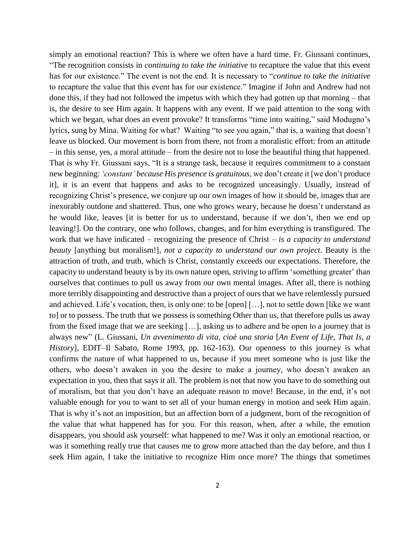simply an emotional reaction? This is where we often have a hard time. Fr. Giussani continues, "The recognition consists in *continuing to take the initiative* to recapture the value that this event has for our existence." The event is not the end. It is necessary to "*continue to take the initiative* to recapture the value that this event has for our existence." Imagine if John and Andrew had not done this, if they had not followed the impetus with which they had gotten up that morning – that is, the desire to see Him again. It happens with any event. If we paid attention to the song with which we began, what does an event provoke? It transforms "time into waiting," said Modugno's lyrics, sung by Mina. Waiting for what? Waiting "to see you again," that is, a waiting that doesn't leave us blocked. Our movement is born from there, not from a moralistic effort: from an attitude – in this sense, yes, a moral attitude – from the desire not to lose the beautiful thing that happened. That is why Fr. Giussani says, "It is a strange task, because it requires commitment to a constant new beginning: *'constant' because His presence is gratuitous*, we don't create it [we don't produce it], it is an event that happens and asks to be recognized unceasingly. Usually, instead of recognizing Christ's presence, we conjure up our own images of how it should be, images that are inexorably outdone and shattered. Thus, one who grows weary, because he doesn't understand as he would like, leaves [it is better for us to understand, because if we don't, then we end up leaving!]. On the contrary, one who follows, changes, and for him everything is transfigured. The work that we have indicated – recognizing the presence of Christ – *is a capacity to understand beauty* [anything but moralism!]*, not a capacity to understand our own project*. Beauty is the attraction of truth, and truth, which is Christ, constantly exceeds our expectations. Therefore, the capacity to understand beauty is by its own nature open, striving to affirm 'something greater' than ourselves that continues to pull us away from our own mental images. After all, there is nothing more terribly disappointing and destructive than a project of ours that we have relentlessly pursued and achieved. Life's vocation, then, is only one: to be [open] […], not to settle down [like we want to] or to possess. The truth that we possess is something Other than us, that therefore pulls us away from the fixed image that we are seeking […], asking us to adhere and be open to a journey that is always new" (L. Giussani, *Un avvenimento di vita, cioè una storia* [*An Event of Life, That Is, a History*], EDIT–Il Sabato, Rome 1993, pp. 162-163). Our openness to this journey is what confirms the nature of what happened to us, because if you meet someone who is just like the others, who doesn't awaken in you the desire to make a journey, who doesn't awaken an expectation in you, then that says it all. The problem is not that now you have to do something out of moralism, but that you don't have an adequate reason to move! Because, in the end, it's not valuable enough for you to want to set all of your human energy in motion and seek Him again. That is why it's not an imposition, but an affection born of a judgment, born of the recognition of the value that what happened has for you. For this reason, when, after a while, the emotion disappears, you should ask yourself: what happened to me? Was it only an emotional reaction, or was it something really true that causes me to grow more attached than the day before, and thus I seek Him again, I take the initiative to recognize Him once more? The things that sometimes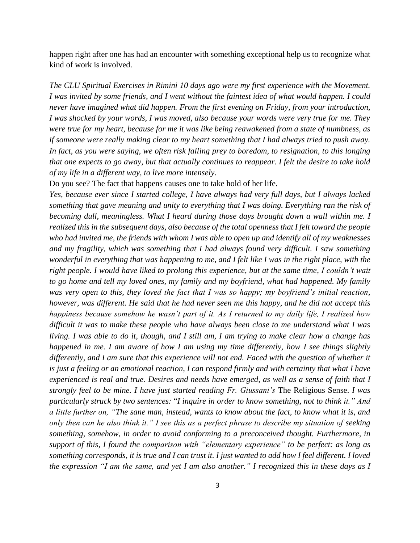happen right after one has had an encounter with something exceptional help us to recognize what kind of work is involved.

*The CLU Spiritual Exercises in Rimini 10 days ago were my first experience with the Movement. I was invited by some friends, and I went without the faintest idea of what would happen. I could never have imagined what did happen. From the first evening on Friday, from your introduction, I was shocked by your words, I was moved, also because your words were very true for me. They were true for my heart, because for me it was like being reawakened from a state of numbness, as if someone were really making clear to my heart something that I had always tried to push away. In fact, as you were saying, we often risk falling prey to boredom, to resignation, to this longing that one expects to go away, but that actually continues to reappear. I felt the desire to take hold of my life in a different way, to live more intensely.*

Do you see? The fact that happens causes one to take hold of her life.

*Yes, because ever since I started college, I have always had very full days, but I always lacked something that gave meaning and unity to everything that I was doing. Everything ran the risk of becoming dull, meaningless. What I heard during those days brought down a wall within me. I realized this in the subsequent days, also because of the total openness that I felt toward the people who had invited me, the friends with whom I was able to open up and identify all of my weaknesses and my fragility, which was something that I had always found very difficult. I saw something wonderful in everything that was happening to me, and I felt like I was in the right place, with the right people. I would have liked to prolong this experience, but at the same time, I couldn't wait to go home and tell my loved ones, my family and my boyfriend, what had happened. My family was very open to this, they loved the fact that I was so happy; my boyfriend's initial reaction, however, was different. He said that he had never seen me this happy, and he did not accept this happiness because somehow he wasn't part of it. As I returned to my daily life, I realized how difficult it was to make these people who have always been close to me understand what I was living. I was able to do it, though, and I still am, I am trying to make clear how a change has happened in me. I am aware of how I am using my time differently, how I see things slightly differently, and I am sure that this experience will not end. Faced with the question of whether it is just a feeling or an emotional reaction, I can respond firmly and with certainty that what I have experienced is real and true. Desires and needs have emerged, as well as a sense of faith that I strongly feel to be mine. I have just started reading Fr. Giussani's* The Religious Sense. *I was particularly struck by two sentences:* "*I inquire in order to know something, not to think it." And a little further on, "The sane man, instead, wants to know about the fact, to know what it is, and only then can he also think it." I see this as a perfect phrase to describe my situation of seeking something, somehow, in order to avoid conforming to a preconceived thought. Furthermore, in support of this, I found the comparison with "elementary experience" to be perfect: as long as something corresponds, it is true and I can trust it. I just wanted to add how I feel different. I loved the expression "I am the same, and yet I am also another." I recognized this in these days as I*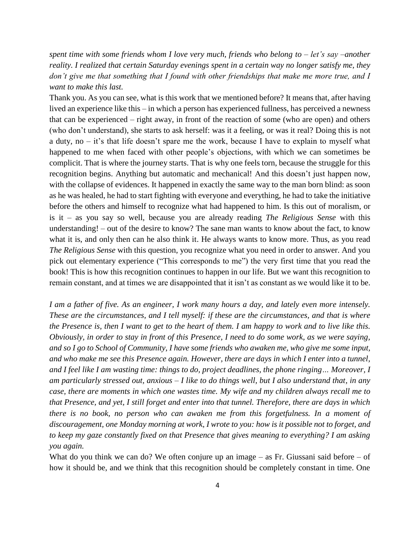*spent time with some friends whom I love very much, friends who belong to – let's say –another reality. I realized that certain Saturday evenings spent in a certain way no longer satisfy me, they don't give me that something that I found with other friendships that make me more true, and I want to make this last.*

Thank you. As you can see, what is this work that we mentioned before? It means that, after having lived an experience like this – in which a person has experienced fullness, has perceived a newness that can be experienced – right away, in front of the reaction of some (who are open) and others (who don't understand), she starts to ask herself: was it a feeling, or was it real? Doing this is not a duty, no – it's that life doesn't spare me the work, because I have to explain to myself what happened to me when faced with other people's objections, with which we can sometimes be complicit. That is where the journey starts. That is why one feels torn, because the struggle for this recognition begins. Anything but automatic and mechanical! And this doesn't just happen now, with the collapse of evidences. It happened in exactly the same way to the man born blind: as soon as he was healed, he had to start fighting with everyone and everything, he had to take the initiative before the others and himself to recognize what had happened to him. Is this out of moralism, or is it – as you say so well, because you are already reading *The Religious Sense* with this understanding! – out of the desire to know? The sane man wants to know about the fact, to know what it is, and only then can he also think it. He always wants to know more. Thus, as you read *The Religious Sense* with this question, you recognize what you need in order to answer. And you pick out elementary experience ("This corresponds to me") the very first time that you read the book! This is how this recognition continues to happen in our life. But we want this recognition to remain constant, and at times we are disappointed that it isn't as constant as we would like it to be.

*I am a father of five. As an engineer, I work many hours a day, and lately even more intensely. These are the circumstances, and I tell myself: if these are the circumstances, and that is where the Presence is, then I want to get to the heart of them. I am happy to work and to live like this. Obviously, in order to stay in front of this Presence, I need to do some work, as we were saying, and so I go to School of Community, I have some friends who awaken me, who give me some input, and who make me see this Presence again. However, there are days in which I enter into a tunnel, and I feel like I am wasting time: things to do, project deadlines, the phone ringing… Moreover, I am particularly stressed out, anxious – I like to do things well, but I also understand that, in any case, there are moments in which one wastes time. My wife and my children always recall me to that Presence, and yet, I still forget and enter into that tunnel. Therefore, there are days in which there is no book, no person who can awaken me from this forgetfulness. In a moment of discouragement, one Monday morning at work, I wrote to you: how is it possible not to forget, and to keep my gaze constantly fixed on that Presence that gives meaning to everything? I am asking you again.*

What do you think we can do? We often conjure up an image  $-$  as Fr. Giussani said before  $-$  of how it should be, and we think that this recognition should be completely constant in time. One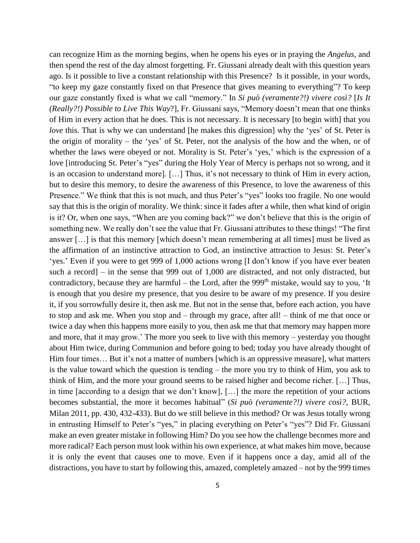can recognize Him as the morning begins, when he opens his eyes or in praying the *Angelus*, and then spend the rest of the day almost forgetting. Fr. Giussani already dealt with this question years ago. Is it possible to live a constant relationship with this Presence? Is it possible, in your words, "to keep my gaze constantly fixed on that Presence that gives meaning to everything"? To keep our gaze constantly fixed is what we call "memory." In *Si può (veramente?!) vivere così?* [*Is It (Really?!) Possible to Live This Way*?], Fr. Giussani says, "Memory doesn't mean that one thinks of Him in every action that he does. This is not necessary. It is necessary [to begin with] that you *love* this. That is why we can understand [he makes this digression] why the 'yes' of St. Peter is the origin of morality – the 'yes' of St. Peter, not the analysis of the how and the when, or of whether the laws were obeyed or not. Morality is St. Peter's 'yes,' which is the expression of a love [introducing St. Peter's "yes" during the Holy Year of Mercy is perhaps not so wrong, and it is an occasion to understand more]. […] Thus, it's not necessary to think of Him in every action, but to desire this memory, to desire the awareness of this Presence, to love the awareness of this Presence." We think that this is not much, and thus Peter's "yes" looks too fragile. No one would say that this is the origin of morality. We think: since it fades after a while, then what kind of origin is it? Or, when one says, "When are you coming back?" we don't believe that this is the origin of something new. We really don't see the value that Fr. Giussani attributes to these things! "The first answer […] is that this memory [which doesn't mean remembering at all times] must be lived as the affirmation of an instinctive attraction to God, an instinctive attraction to Jesus: St. Peter's 'yes.' Even if you were to get 999 of 1,000 actions wrong [I don't know if you have ever beaten such a record] – in the sense that 999 out of 1,000 are distracted, and not only distracted, but contradictory, because they are harmful – the Lord, after the 999<sup>th</sup> mistake, would say to you, 'It is enough that you desire my presence, that you desire to be aware of my presence. If you desire it, if you sorrowfully desire it, then ask me. But not in the sense that, before each action, you have to stop and ask me. When you stop and – through my grace, after all! – think of me that once or twice a day when this happens more easily to you, then ask me that that memory may happen more and more, that it may grow.' The more you seek to live with this memory – yesterday you thought about Him twice, during Communion and before going to bed; today you have already thought of Him four times… But it's not a matter of numbers [which is an oppressive measure], what matters is the value toward which the question is tending – the more you try to think of Him, you ask to think of Him, and the more your ground seems to be raised higher and become richer. […] Thus, in time [according to a design that we don't know], […] the more the repetition of your actions becomes substantial, the more it becomes habitual" (*Si può (veramente?!) vivere così?*, BUR, Milan 2011, pp. 430, 432-433). But do we still believe in this method? Or was Jesus totally wrong in entrusting Himself to Peter's "yes," in placing everything on Peter's "yes"? Did Fr. Giussani make an even greater mistake in following Him? Do you see how the challenge becomes more and more radical? Each person must look within his own experience, at what makes him move, because it is only the event that causes one to move. Even if it happens once a day, amid all of the distractions, you have to start by following this, amazed, completely amazed – not by the 999 times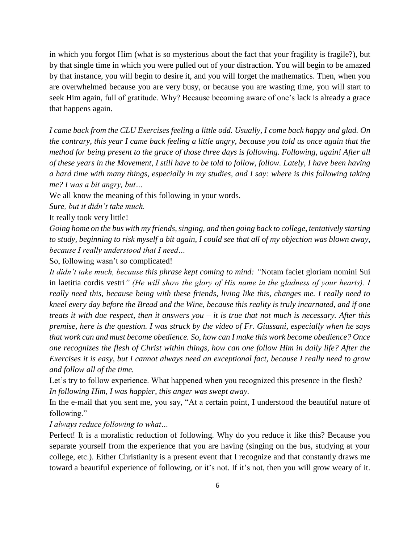in which you forgot Him (what is so mysterious about the fact that your fragility is fragile?), but by that single time in which you were pulled out of your distraction. You will begin to be amazed by that instance, you will begin to desire it, and you will forget the mathematics. Then, when you are overwhelmed because you are very busy, or because you are wasting time, you will start to seek Him again, full of gratitude. Why? Because becoming aware of one's lack is already a grace that happens again.

*I came back from the CLU Exercises feeling a little odd. Usually, I come back happy and glad. On the contrary, this year I came back feeling a little angry, because you told us once again that the method for being present to the grace of those three days is following. Following, again! After all of these years in the Movement, I still have to be told to follow, follow. Lately, I have been having a hard time with many things, especially in my studies, and I say: where is this following taking me? I was a bit angry, but…*

We all know the meaning of this following in your words.

*Sure, but it didn't take much.*

It really took very little!

*Going home on the bus with my friends, singing, and then going back to college, tentatively starting to study, beginning to risk myself a bit again, I could see that all of my objection was blown away, because I really understood that I need…*

So, following wasn't so complicated!

*It didn't take much, because this phrase kept coming to mind: "*Notam faciet gloriam nomini Sui in laetitia cordis vestri*" (He will show the glory of His name in the gladness of your hearts). I really need this, because being with these friends, living like this, changes me. I really need to kneel every day before the Bread and the Wine, because this reality is truly incarnated, and if one treats it with due respect, then it answers you – it is true that not much is necessary. After this premise, here is the question. I was struck by the video of Fr. Giussani, especially when he says that work can and must become obedience. So, how can I make this work become obedience? Once one recognizes the flesh of Christ within things, how can one follow Him in daily life? After the Exercises it is easy, but I cannot always need an exceptional fact, because I really need to grow and follow all of the time.* 

Let's try to follow experience. What happened when you recognized this presence in the flesh? *In following Him, I was happier, this anger was swept away.*

In the e-mail that you sent me, you say, "At a certain point, I understood the beautiful nature of following."

*I always reduce following to what…*

Perfect! It is a moralistic reduction of following. Why do you reduce it like this? Because you separate yourself from the experience that you are having (singing on the bus, studying at your college, etc.). Either Christianity is a present event that I recognize and that constantly draws me toward a beautiful experience of following, or it's not. If it's not, then you will grow weary of it.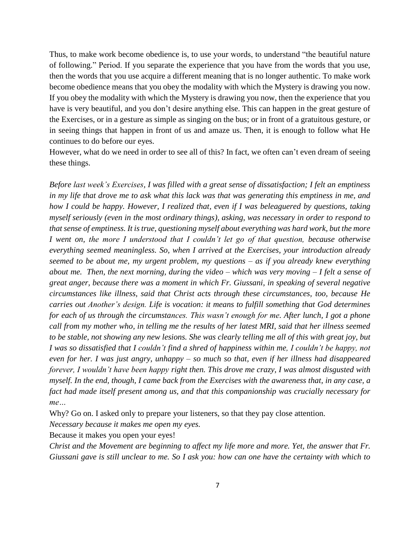Thus, to make work become obedience is, to use your words, to understand "the beautiful nature of following." Period. If you separate the experience that you have from the words that you use, then the words that you use acquire a different meaning that is no longer authentic. To make work become obedience means that you obey the modality with which the Mystery is drawing you now. If you obey the modality with which the Mystery is drawing you now, then the experience that you have is very beautiful, and you don't desire anything else. This can happen in the great gesture of the Exercises, or in a gesture as simple as singing on the bus; or in front of a gratuitous gesture, or in seeing things that happen in front of us and amaze us. Then, it is enough to follow what He continues to do before our eyes.

However, what do we need in order to see all of this? In fact, we often can't even dream of seeing these things.

*Before last week's Exercises, I was filled with a great sense of dissatisfaction; I felt an emptiness in my life that drove me to ask what this lack was that was generating this emptiness in me, and how I could be happy. However, I realized that, even if I was beleaguered by questions, taking myself seriously (even in the most ordinary things), asking, was necessary in order to respond to that sense of emptiness. It is true, questioning myself about everything was hard work, but the more I went on, the more I understood that I couldn't let go of that question, because otherwise everything seemed meaningless. So, when I arrived at the Exercises, your introduction already seemed to be about me, my urgent problem, my questions – as if you already knew everything about me. Then, the next morning, during the video – which was very moving – I felt a sense of great anger, because there was a moment in which Fr. Giussani, in speaking of several negative circumstances like illness, said that Christ acts through these circumstances, too, because He carries out Another's design. Life is vocation: it means to fulfill something that God determines for each of us through the circumstances. This wasn't enough for me. After lunch, I got a phone call from my mother who, in telling me the results of her latest MRI, said that her illness seemed to be stable, not showing any new lesions. She was clearly telling me all of this with great joy, but I was so dissatisfied that I couldn't find a shred of happiness within me, I couldn't be happy, not even for her. I was just angry, unhappy – so much so that, even if her illness had disappeared forever, I wouldn't have been happy right then. This drove me crazy, I was almost disgusted with myself. In the end, though, I came back from the Exercises with the awareness that, in any case, a fact had made itself present among us, and that this companionship was crucially necessary for me…*

Why? Go on. I asked only to prepare your listeners, so that they pay close attention.

*Necessary because it makes me open my eyes.*

Because it makes you open your eyes!

*Christ and the Movement are beginning to affect my life more and more. Yet, the answer that Fr. Giussani gave is still unclear to me. So I ask you: how can one have the certainty with which to*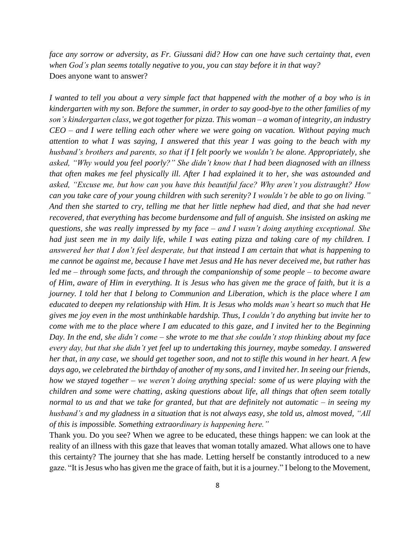*face any sorrow or adversity, as Fr. Giussani did? How can one have such certainty that, even when God's plan seems totally negative to you, you can stay before it in that way?* Does anyone want to answer?

*I wanted to tell you about a very simple fact that happened with the mother of a boy who is in kindergarten with my son. Before the summer, in order to say good-bye to the other families of my son's kindergarten class, we got together for pizza. This woman – a woman of integrity, an industry CEO – and I were telling each other where we were going on vacation. Without paying much attention to what I was saying, I answered that this year I was going to the beach with my husband's brothers and parents, so that if I felt poorly we wouldn't be alone. Appropriately, she asked, "Why would you feel poorly?" She didn't know that I had been diagnosed with an illness that often makes me feel physically ill. After I had explained it to her, she was astounded and asked, "Excuse me, but how can you have this beautiful face? Why aren't you distraught? How can you take care of your young children with such serenity? I wouldn't be able to go on living." And then she started to cry, telling me that her little nephew had died, and that she had never recovered, that everything has become burdensome and full of anguish. She insisted on asking me questions, she was really impressed by my face – and I wasn't doing anything exceptional. She had just seen me in my daily life, while I was eating pizza and taking care of my children. I answered her that I don't feel desperate, but that instead I am certain that what is happening to me cannot be against me, because I have met Jesus and He has never deceived me, but rather has led me – through some facts, and through the companionship of some people – to become aware of Him, aware of Him in everything. It is Jesus who has given me the grace of faith, but it is a journey. I told her that I belong to Communion and Liberation, which is the place where I am educated to deepen my relationship with Him. It is Jesus who molds man's heart so much that He gives me joy even in the most unthinkable hardship. Thus, I couldn't do anything but invite her to come with me to the place where I am educated to this gaze, and I invited her to the Beginning Day. In the end, she didn't come – she wrote to me that she couldn't stop thinking about my face every day, but that she didn't yet feel up to undertaking this journey, maybe someday. I answered her that, in any case, we should get together soon, and not to stifle this wound in her heart. A few days ago, we celebrated the birthday of another of my sons, and I invited her. In seeing our friends, how we stayed together – we weren't doing anything special: some of us were playing with the children and some were chatting, asking questions about life, all things that often seem totally normal to us and that we take for granted, but that are definitely not automatic – in seeing my husband's and my gladness in a situation that is not always easy, she told us, almost moved, "All of this is impossible. Something extraordinary is happening here."*

Thank you. Do you see? When we agree to be educated, these things happen: we can look at the reality of an illness with this gaze that leaves that woman totally amazed. What allows one to have this certainty? The journey that she has made. Letting herself be constantly introduced to a new gaze. "It is Jesus who has given me the grace of faith, but it is a journey." I belong to the Movement,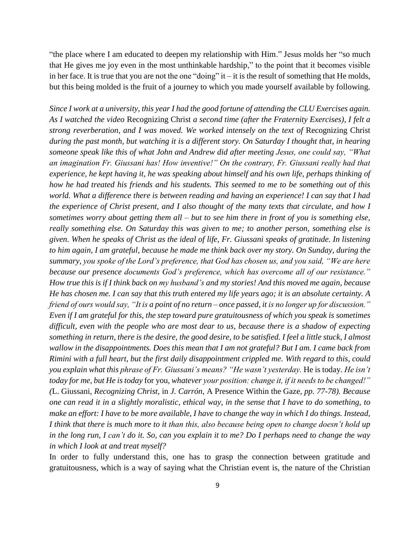"the place where I am educated to deepen my relationship with Him." Jesus molds her "so much that He gives me joy even in the most unthinkable hardship," to the point that it becomes visible in her face. It is true that you are not the one "doing" it – it is the result of something that He molds, but this being molded is the fruit of a journey to which you made yourself available by following.

*Since I work at a university, this year I had the good fortune of attending the CLU Exercises again. As I watched the video* Recognizing Christ *a second time (after the Fraternity Exercises), I felt a strong reverberation, and I was moved. We worked intensely on the text of* Recognizing Christ *during the past month, but watching it is a different story. On Saturday I thought that, in hearing someone speak like this of what John and Andrew did after meeting Jesus, one could say, "What an imagination Fr. Giussani has! How inventive!" On the contrary, Fr. Giussani really had that experience, he kept having it, he was speaking about himself and his own life, perhaps thinking of how he had treated his friends and his students. This seemed to me to be something out of this world. What a difference there is between reading and having an experience! I can say that I had the experience of Christ present, and I also thought of the many texts that circulate, and how I sometimes worry about getting them all – but to see him there in front of you is something else, really something else. On Saturday this was given to me; to another person, something else is given. When he speaks of Christ as the ideal of life, Fr. Giussani speaks of gratitude. In listening to him again, I am grateful, because he made me think back over my story. On Sunday, during the summary, you spoke of the Lord's preference, that God has chosen us, and you said, "We are here because our presence documents God's preference, which has overcome all of our resistance." How true this is if I think back on my husband's and my stories! And this moved me again, because He has chosen me. I can say that this truth entered my life years ago; it is an absolute certainty. A friend of ours would say, "It is a point of no return – once passed, it is no longer up for discussion." Even if I am grateful for this, the step toward pure gratuitousness of which you speak is sometimes difficult, even with the people who are most dear to us, because there is a shadow of expecting something in return, there is the desire, the good desire, to be satisfied. I feel a little stuck, I almost wallow in the disappointments. Does this mean that I am not grateful? But I am. I came back from Rimini with a full heart, but the first daily disappointment crippled me. With regard to this, could you explain what this phrase of Fr. Giussani's means? "He wasn't yesterday.* He is today. *He isn't today for me, but He is today* for you*, whatever your position: change it, if it needs to be changed!" (*L. Giussani*, Recognizing Christ,* in *J. Carrón,* A Presence Within the Gaze*, pp. 77-78). Because one can read it in a slightly moralistic, ethical way, in the sense that I have to do something, to make an effort: I have to be more available, I have to change the way in which I do things. Instead, I think that there is much more to it than this, also because being open to change doesn't hold up in the long run, I can't do it. So, can you explain it to me? Do I perhaps need to change the way in which I look at and treat myself?*

In order to fully understand this, one has to grasp the connection between gratitude and gratuitousness, which is a way of saying what the Christian event is, the nature of the Christian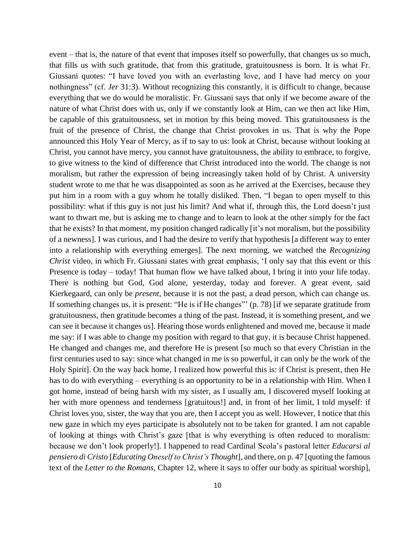event – that is, the nature of that event that imposes itself so powerfully, that changes us so much, that fills us with such gratitude, that from this gratitude, gratuitousness is born. It is what Fr. Giussani quotes: "I have loved you with an everlasting love, and I have had mercy on your nothingness" (cf. *Jer* 31:3). Without recognizing this constantly, it is difficult to change, because everything that we do would be moralistic. Fr. Giussani says that only if we become aware of the nature of what Christ does with us, only if we constantly look at Him, can we then act like Him, be capable of this gratuitousness, set in motion by this being moved. This gratuitousness is the fruit of the presence of Christ, the change that Christ provokes in us. That is why the Pope announced this Holy Year of Mercy, as if to say to us: look at Christ, because without looking at Christ, you cannot have mercy, you cannot have gratuitousness, the ability to embrace, to forgive, to give witness to the kind of difference that Christ introduced into the world. The change is not moralism, but rather the expression of being increasingly taken hold of by Christ. A university student wrote to me that he was disappointed as soon as he arrived at the Exercises, because they put him in a room with a guy whom he totally disliked. Then, "I began to open myself to this possibility: what if this guy is not just his limit? And what if, through this, the Lord doesn't just want to thwart me, but is asking me to change and to learn to look at the other simply for the fact that he exists? In that moment, my position changed radically [it's not moralism, but the possibility of a newness]. I was curious, and I had the desire to verify that hypothesis [a different way to enter into a relationship with everything emerges]. The next morning, we watched the *Recognizing Christ* video, in which Fr. Giussani states with great emphasis, 'I only say that this event or this Presence is today – today! That human flow we have talked about, I bring it into your life today. There is nothing but God, God alone, yesterday, today and forever. A great event, said Kierkegaard, can only be *present*, because it is not the past, a dead person, which can change us. If something changes us, it is present: "He is if He changes"' (p. 78) [if we separate gratitude from gratuitousness, then gratitude becomes a thing of the past. Instead, it is something present, and we can see it because it changes us]. Hearing those words enlightened and moved me, because it made me say: if I was able to change my position with regard to that guy, it is because Christ happened. He changed and changes me, and therefore He is present [so much so that every Christian in the first centuries used to say: since what changed in me is so powerful, it can only be the work of the Holy Spirit]. On the way back home, I realized how powerful this is: if Christ is present, then He has to do with everything – everything is an opportunity to be in a relationship with Him. When I got home, instead of being harsh with my sister, as I usually am, I discovered myself looking at her with more openness and tenderness [gratuitous!] and, in front of her limit, I told myself: if Christ loves you, sister, the way that you are, then I accept you as well. However, I notice that this new gaze in which my eyes participate is absolutely not to be taken for granted. I am not capable of looking at things with Christ's gaze [that is why everything is often reduced to moralism: because we don't look properly!]. I happened to read Cardinal Scola's pastoral letter *Educarsi al pensiero di Cristo* [*Educating Oneself to Christ's Thought*], and there, on p. 47 [quoting the famous text of the *Letter to the Romans,* Chapter 12, where it says to offer our body as spiritual worship],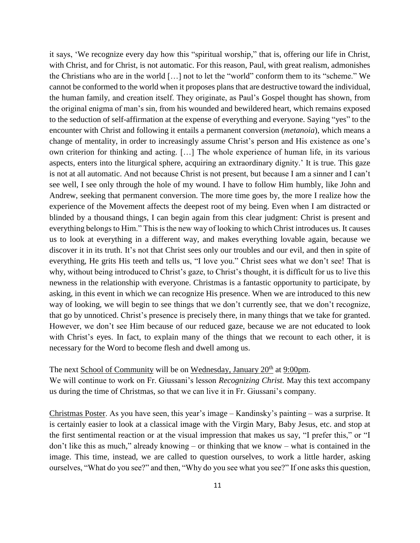it says, 'We recognize every day how this "spiritual worship," that is, offering our life in Christ, with Christ, and for Christ, is not automatic. For this reason, Paul, with great realism, admonishes the Christians who are in the world […] not to let the "world" conform them to its "scheme." We cannot be conformed to the world when it proposes plans that are destructive toward the individual, the human family, and creation itself. They originate, as Paul's Gospel thought has shown, from the original enigma of man's sin, from his wounded and bewildered heart, which remains exposed to the seduction of self-affirmation at the expense of everything and everyone. Saying "yes" to the encounter with Christ and following it entails a permanent conversion (*metanoia*), which means a change of mentality, in order to increasingly assume Christ's person and His existence as one's own criterion for thinking and acting. […] The whole experience of human life, in its various aspects, enters into the liturgical sphere, acquiring an extraordinary dignity.' It is true. This gaze is not at all automatic. And not because Christ is not present, but because I am a sinner and I can't see well, I see only through the hole of my wound. I have to follow Him humbly, like John and Andrew, seeking that permanent conversion. The more time goes by, the more I realize how the experience of the Movement affects the deepest root of my being. Even when I am distracted or blinded by a thousand things, I can begin again from this clear judgment: Christ is present and everything belongs to Him." This is the new way of looking to which Christ introduces us. It causes us to look at everything in a different way, and makes everything lovable again, because we discover it in its truth. It's not that Christ sees only our troubles and our evil, and then in spite of everything, He grits His teeth and tells us, "I love you." Christ sees what we don't see! That is why, without being introduced to Christ's gaze, to Christ's thought, it is difficult for us to live this newness in the relationship with everyone. Christmas is a fantastic opportunity to participate, by asking, in this event in which we can recognize His presence. When we are introduced to this new way of looking, we will begin to see things that we don't currently see, that we don't recognize, that go by unnoticed. Christ's presence is precisely there, in many things that we take for granted. However, we don't see Him because of our reduced gaze, because we are not educated to look with Christ's eyes. In fact, to explain many of the things that we recount to each other, it is necessary for the Word to become flesh and dwell among us.

## The next School of Community will be on Wednesday, January  $20<sup>th</sup>$  at 9:00pm.

We will continue to work on Fr. Giussani's lesson *Recognizing Christ.* May this text accompany us during the time of Christmas, so that we can live it in Fr. Giussani's company.

Christmas Poster. As you have seen, this year's image – Kandinsky's painting – was a surprise. It is certainly easier to look at a classical image with the Virgin Mary, Baby Jesus, etc. and stop at the first sentimental reaction or at the visual impression that makes us say, "I prefer this," or "I don't like this as much," already knowing – or thinking that we know – what is contained in the image. This time, instead, we are called to question ourselves, to work a little harder, asking ourselves, "What do you see?" and then, "Why do you see what you see?" If one asks this question,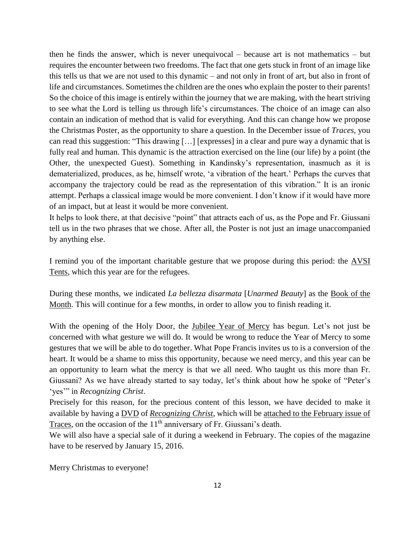then he finds the answer, which is never unequivocal – because art is not mathematics – but requires the encounter between two freedoms. The fact that one gets stuck in front of an image like this tells us that we are not used to this dynamic – and not only in front of art, but also in front of life and circumstances. Sometimes the children are the ones who explain the poster to their parents! So the choice of this image is entirely within the journey that we are making, with the heart striving to see what the Lord is telling us through life's circumstances. The choice of an image can also contain an indication of method that is valid for everything. And this can change how we propose the Christmas Poster, as the opportunity to share a question. In the December issue of *Traces*, you can read this suggestion: "This drawing […] [expresses] in a clear and pure way a dynamic that is fully real and human. This dynamic is the attraction exercised on the line (our life) by a point (the Other, the unexpected Guest). Something in Kandinsky's representation, inasmuch as it is dematerialized, produces, as he, himself wrote, 'a vibration of the heart.' Perhaps the curves that accompany the trajectory could be read as the representation of this vibration." It is an ironic attempt. Perhaps a classical image would be more convenient. I don't know if it would have more of an impact, but at least it would be more convenient.

It helps to look there, at that decisive "point" that attracts each of us, as the Pope and Fr. Giussani tell us in the two phrases that we chose. After all, the Poster is not just an image unaccompanied by anything else.

I remind you of the important charitable gesture that we propose during this period: the AVSI Tents, which this year are for the refugees.

During these months, we indicated *La bellezza disarmata* [*Unarmed Beauty*] as the Book of the Month. This will continue for a few months, in order to allow you to finish reading it.

With the opening of the Holy Door, the Jubilee Year of Mercy has begun. Let's not just be concerned with what gesture we will do. It would be wrong to reduce the Year of Mercy to some gestures that we will be able to do together. What Pope Francis invites us to is a conversion of the heart. It would be a shame to miss this opportunity, because we need mercy, and this year can be an opportunity to learn what the mercy is that we all need. Who taught us this more than Fr. Giussani? As we have already started to say today, let's think about how he spoke of "Peter's 'yes'" in *Recognizing Christ*.

Precisely for this reason, for the precious content of this lesson, we have decided to make it available by having a DVD of *Recognizing Christ*, which will be attached to the February issue of Traces, on the occasion of the 11<sup>th</sup> anniversary of Fr. Giussani's death.

We will also have a special sale of it during a weekend in February. The copies of the magazine have to be reserved by January 15, 2016.

Merry Christmas to everyone!